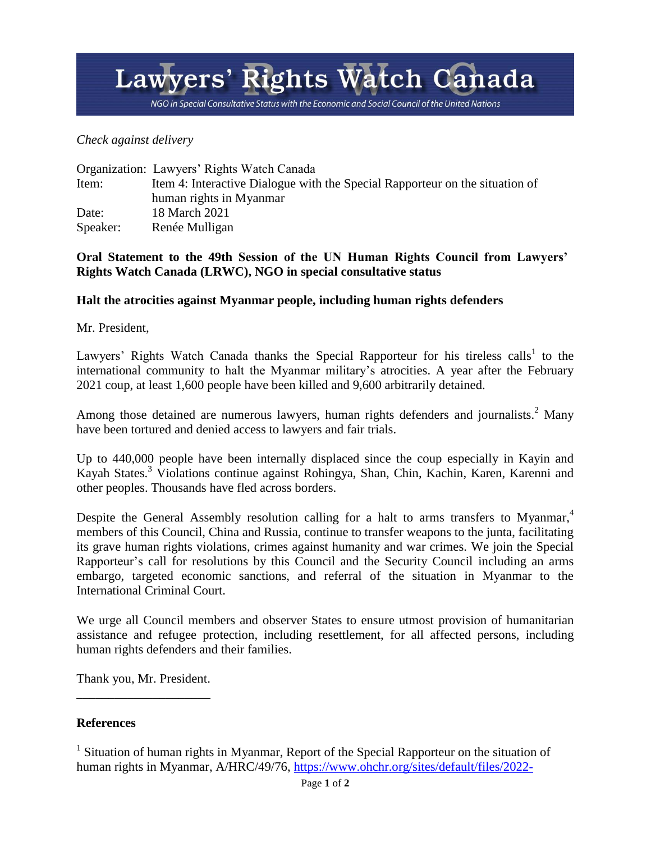## Lawyers' Rights Watch Canada

NGO in Special Consultative Status with the Economic and Social Council of the United Nations

*Check against delivery*

|          | Organization: Lawyers' Rights Watch Canada                                   |
|----------|------------------------------------------------------------------------------|
| Item:    | Item 4: Interactive Dialogue with the Special Rapporteur on the situation of |
|          | human rights in Myanmar                                                      |
| Date:    | 18 March 2021                                                                |
| Speaker: | Renée Mulligan                                                               |

## **Oral Statement to the 49th Session of the UN Human Rights Council from Lawyers' Rights Watch Canada (LRWC), NGO in special consultative status**

## **Halt the atrocities against Myanmar people, including human rights defenders**

Mr. President,

Lawyers' Rights Watch Canada thanks the Special Rapporteur for his tireless calls<sup>1</sup> to the international community to halt the Myanmar military's atrocities. A year after the February 2021 coup, at least 1,600 people have been killed and 9,600 arbitrarily detained.

Among those detained are numerous lawyers, human rights defenders and journalists.<sup>2</sup> Many have been tortured and denied access to lawyers and fair trials.

Up to 440,000 people have been internally displaced since the coup especially in Kayin and Kayah States.<sup>3</sup> Violations continue against Rohingya, Shan, Chin, Kachin, Karen, Karenni and other peoples. Thousands have fled across borders.

Despite the General Assembly resolution calling for a halt to arms transfers to Myanmar,<sup>4</sup> members of this Council, China and Russia, continue to transfer weapons to the junta, facilitating its grave human rights violations, crimes against humanity and war crimes. We join the Special Rapporteur's call for resolutions by this Council and the Security Council including an arms embargo, targeted economic sanctions, and referral of the situation in Myanmar to the International Criminal Court.

We urge all Council members and observer States to ensure utmost provision of humanitarian assistance and refugee protection, including resettlement, for all affected persons, including human rights defenders and their families.

Thank you, Mr. President. \_\_\_\_\_\_\_\_\_\_\_\_\_\_\_\_\_\_\_\_\_

## **References**

<sup>1</sup> Situation of human rights in Myanmar, Report of the Special Rapporteur on the situation of human rights in Myanmar, A/HRC/49/76, [https://www.ohchr.org/sites/default/files/2022-](https://www.ohchr.org/sites/default/files/2022-03/A_HRC_49_76_AUV.docx)